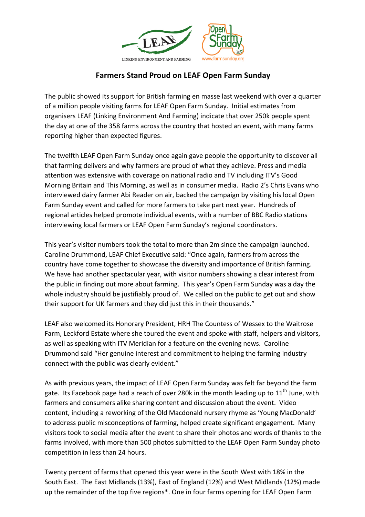

## **Farmers Stand Proud on LEAF Open Farm Sunday**

The public showed its support for British farming en masse last weekend with over a quarter of a million people visiting farms for LEAF Open Farm Sunday. Initial estimates from organisers LEAF (Linking Environment And Farming) indicate that over 250k people spent the day at one of the 358 farms across the country that hosted an event, with many farms reporting higher than expected figures.

The twelfth LEAF Open Farm Sunday once again gave people the opportunity to discover all that farming delivers and why farmers are proud of what they achieve. Press and media attention was extensive with coverage on national radio and TV including ITV's Good Morning Britain and This Morning, as well as in consumer media. Radio 2's Chris Evans who interviewed dairy farmer Abi Reader on air, backed the campaign by visiting his local Open Farm Sunday event and called for more farmers to take part next year. Hundreds of regional articles helped promote individual events, with a number of BBC Radio stations interviewing local farmers or LEAF Open Farm Sunday's regional coordinators.

This year's visitor numbers took the total to more than 2m since the campaign launched. Caroline Drummond, LEAF Chief Executive said: "Once again, farmers from across the country have come together to showcase the diversity and importance of British farming. We have had another spectacular year, with visitor numbers showing a clear interest from the public in finding out more about farming. This year's Open Farm Sunday was a day the whole industry should be justifiably proud of. We called on the public to get out and show their support for UK farmers and they did just this in their thousands."

LEAF also welcomed its Honorary President, HRH The Countess of Wessex to the Waitrose Farm, Leckford Estate where she toured the event and spoke with staff, helpers and visitors, as well as speaking with ITV Meridian for a feature on the evening news. Caroline Drummond said "Her genuine interest and commitment to helping the farming industry connect with the public was clearly evident."

As with previous years, the impact of LEAF Open Farm Sunday was felt far beyond the farm gate. Its Facebook page had a reach of over 280k in the month leading up to  $11<sup>th</sup>$  June, with farmers and consumers alike sharing content and discussion about the event. Video content, including a reworking of the Old Macdonald nursery rhyme as 'Young MacDonald' to address public misconceptions of farming, helped create significant engagement. Many visitors took to social media after the event to share their photos and words of thanks to the farms involved, with more than 500 photos submitted to the LEAF Open Farm Sunday photo competition in less than 24 hours.

Twenty percent of farms that opened this year were in the South West with 18% in the South East. The East Midlands (13%), East of England (12%) and West Midlands (12%) made up the remainder of the top five regions\*. One in four farms opening for LEAF Open Farm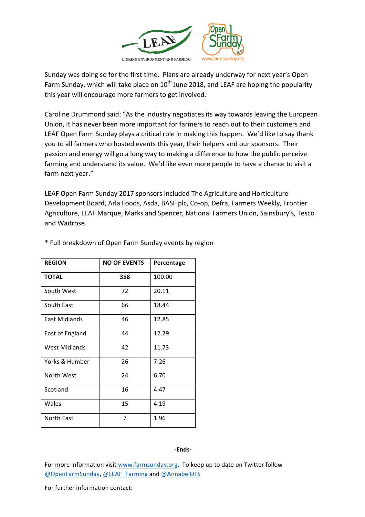

Sunday was doing so for the first time. Plans are already underway for next year's Open Farm Sunday, which will take place on  $10^{th}$  June 2018, and LEAF are hoping the popularity this year will encourage more farmers to get involved.

Caroline Drummond said: "As the industry negotiates its way towards leaving the European Union, it has never been more important for farmers to reach out to their customers and LEAF Open Farm Sunday plays a critical role in making this happen. We'd like to say thank you to all farmers who hosted events this year, their helpers and our sponsors. Their passion and energy will go a long way to making a difference to how the public perceive farming and understand its value. We'd like even more people to have a chance to visit a farm next year."

LEAF Open Farm Sunday 2017 sponsors included The Agriculture and Horticulture Development Board, Arla Foods, Asda, BASF plc, Co-op, Defra, Farmers Weekly, Frontier Agriculture, LEAF Marque, Marks and Spencer, National Farmers Union, Sainsbury's, Tesco and Waitrose.

| <b>REGION</b>   | <b>NO OF EVENTS</b> | Percentage |
|-----------------|---------------------|------------|
| <b>TOTAL</b>    | 358                 | 100.00     |
| South West      | 72                  | 20.11      |
| South East      | 66                  | 18.44      |
| East Midlands   | 46                  | 12.85      |
| East of England | 44                  | 12.29      |
| West Midlands   | 42                  | 11.73      |
| Yorks & Humber  | 26                  | 7.26       |
| North West      | 24                  | 6.70       |
| Scotland        | 16                  | 4.47       |
| Wales           | 15                  | 4.19       |
| North East      | 7                   | 1.96       |

\* Full breakdown of Open Farm Sunday events by region

## **-Ends-**

For more information visit www.farmsunday.org. To keep up to date on Twitter follow @OpenFarmSunday, @LEAF\_Farming and @AnnabelOFS